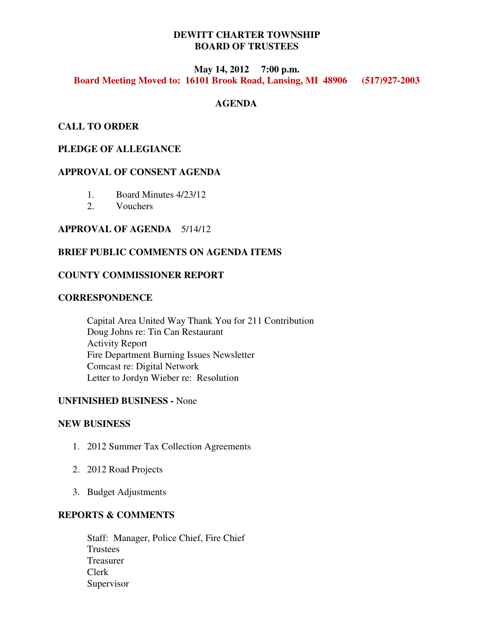# **DEWITT CHARTER TOWNSHIP BOARD OF TRUSTEES**

## **May 14, 2012 7:00 p.m. Board Meeting Moved to: 16101 Brook Road, Lansing, MI 48906 (517)927-2003**

## **AGENDA**

# **CALL TO ORDER**

# **PLEDGE OF ALLEGIANCE**

## **APPROVAL OF CONSENT AGENDA**

- 1. Board Minutes 4/23/12
- 2. Vouchers

#### **APPROVAL OF AGENDA** 5/14/12

## **BRIEF PUBLIC COMMENTS ON AGENDA ITEMS**

#### **COUNTY COMMISSIONER REPORT**

## **CORRESPONDENCE**

 Capital Area United Way Thank You for 211 Contribution Doug Johns re: Tin Can Restaurant Activity Report Fire Department Burning Issues Newsletter Comcast re: Digital Network Letter to Jordyn Wieber re: Resolution

#### **UNFINISHED BUSINESS -** None

#### **NEW BUSINESS**

- 1. 2012 Summer Tax Collection Agreements
- 2. 2012 Road Projects
- 3. Budget Adjustments

# **REPORTS & COMMENTS**

Staff: Manager, Police Chief, Fire Chief Trustees Treasurer Clerk Supervisor